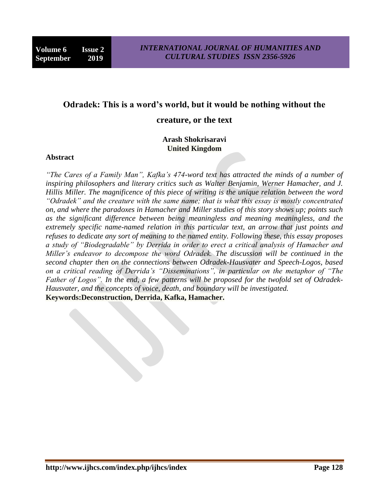# **Odradek: This is a word's world, but it would be nothing without the**

#### **creature, or the text**

# **Arash Shokrisaravi United Kingdom**

#### **Abstract**

*"The Cares of a Family Man", Kafka's 474-word text has attracted the minds of a number of inspiring philosophers and literary critics such as Walter Benjamin, Werner Hamacher, and J. Hillis Miller. The magnificence of this piece of writing is the unique relation between the word "Odradek" and the creature with the same name; that is what this essay is mostly concentrated on, and where the paradoxes in Hamacher and Miller studies of this story shows up; points such as the significant difference between being meaningless and meaning meaningless, and the extremely specific name-named relation in this particular text, an arrow that just points and refuses to dedicate any sort of meaning to the named entity. Following these, this essay proposes a study of "Biodegradable" by Derrida in order to erect a critical analysis of Hamacher and Miller's endeavor to decompose the word Odradek. The discussion will be continued in the second chapter then on the connections between Odradek-Hausvater and Speech-Logos, based on a critical reading of Derrida's "Disseminations", in particular on the metaphor of "The Father of Logos". In the end, a few patterns will be proposed for the twofold set of Odradek-Hausvater, and the concepts of voice, death, and boundary will be investigated.* **Keywords:Deconstruction, Derrida, Kafka, Hamacher.**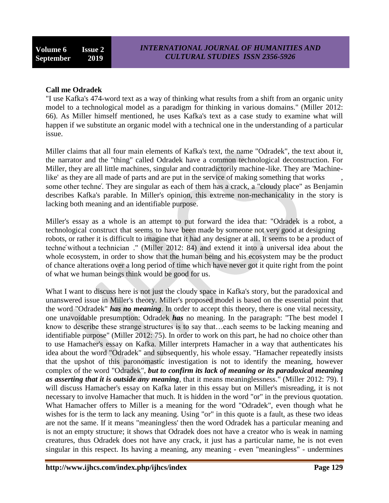# **Call me Odradek**

"I use Kafka's 474-word text as a way of thinking what results from a shift from an organic unity model to a technological model as a paradigm for thinking in various domains." (Miller 2012: 66). As Miller himself mentioned, he uses Kafka's text as a case study to examine what will happen if we substitute an organic model with a technical one in the understanding of a particular issue.

Miller claims that all four main elements of Kafka's text, the name "Odradek", the text about it, the narrator and the "thing" called Odradek have a common technological deconstruction. For Miller, they are all little machines, singular and contradictorily machine-like. They are 'Machinelike' as they are all made of parts and are put in the service of making something that works some other techné. They are singular as each of them has a crack, a "cloudy place" as Benjamin describes Kafka's parable. In Miller's opinion, this extreme non-mechanicality in the story is lacking both meaning and an identifiable purpose.

Miller's essay as a whole is an attempt to put forward the idea that: "Odradek is a robot, a technological construct that seems to have been made by someone not very good at designing robots, or rather it is difficult to imagine that it had any designer at all. It seems to be a product of techne' without a technician ." (Miller 2012: 84) and extend it into a universal idea about the whole ecosystem, in order to show that the human being and his ecosystem may be the product of chance alterations over a long period of time which have never got it quite right from the point of what we human beings think would be good for us.

What I want to discuss here is not just the cloudy space in Kafka's story, but the paradoxical and unanswered issue in Miller's theory. Miller's proposed model is based on the essential point that the word "Odradek" *has no meaning*. In order to accept this theory, there is one vital necessity, one unavoidable presumption: Odradek *has* no meaning. In the paragraph: "The best model I know to describe these strange structures is to say that…each seems to be lacking meaning and identifiable purpose" (Miller 2012: 75). In order to work on this part, he had no choice other than to use Hamacher's essay on Kafka. Miller interprets Hamacher in a way that authenticates his idea about the word "Odradek" and subsequently, his whole essay. "Hamacher repeatedly insists that the upshot of this paronomastic investigation is not to identify the meaning, however complex of the word "Odradek", *but to confirm its lack of meaning or its paradoxical meaning as asserting that it is outside any meaning*, that it means meaninglessness." (Miller 2012: 79). I will discuss Hamacher's essay on Kafka later in this essay but on Miller's misreading, it is not necessary to involve Hamacher that much. It is hidden in the word "or" in the previous quotation. What Hamacher offers to Miller is a meaning for the word "Odradek", even though what he wishes for is the term to lack any meaning. Using "or" in this quote is a fault, as these two ideas are not the same. If it means "meaningless' then the word Odradek has a particular meaning and is not an empty structure; it shows that Odradek does not have a creator who is weak in naming creatures, thus Odradek does not have any crack, it just has a particular name, he is not even singular in this respect. Its having a meaning, any meaning - even "meaningless" - undermines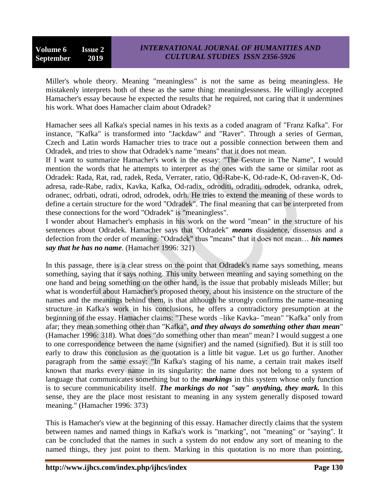Miller's whole theory. Meaning "meaningless" is not the same as being meaningless. He mistakenly interprets both of these as the same thing: meaninglessness. He willingly accepted Hamacher's essay because he expected the results that he required, not caring that it undermines his work. What does Hamacher claim about Odradek?

Hamacher sees all Kafka's special names in his texts as a coded anagram of "Franz Kafka". For instance, "Kafka" is transformed into "Jackdaw" and "Raver". Through a series of German, Czech and Latin words Hamacher tries to trace out a possible connection between them and Odradek, and tries to show that Odradek's name "means" that it does not mean.

If I want to summarize Hamacher's work in the essay: "The Gesture in The Name", I would mention the words that he attempts to interpret as the ones with the same or similar root as Odradek: Rada, Rat, rad, radek, Reda, Verrater, ratio, Od-Rabe-K, Od-rade-K, Od-raven-K, Odadresa, rade-Rabe, radix, Kavka, Kafka, Od-radix, odroditi, odraditi, odrodek, odranka, odrek, odranec, odrbati, odrati, odrod, odrodek, odrh. He tries to extend the meaning of these words to define a certain structure for the word "Odradek". The final meaning that can be interpreted from these connections for the word "Odradek" is "meaningless".

I wonder about Hamacher's emphasis in his work on the word "mean" in the structure of his sentences about Odradek. Hamacher says that "Odradek" *means* dissidence, dissensus and a defection from the order of meaning. "Odradek" thus "means" that it does not mean… *his names say that he has no name*. (Hamacher 1996: 321)

In this passage, there is a clear stress on the point that Odradek's name says something, means something, saying that it says nothing. This unity between meaning and saying something on the one hand and being something on the other hand, is the issue that probably misleads Miller; but what is wonderful about Hamacher's proposed theory, about his insistence on the structure of the names and the meanings behind them, is that although he strongly confirms the name-meaning structure in Kafka's work in his conclusions, he offers a contradictory presumption at the beginning of the essay. Hamacher claims: "These words –like Kavka- "mean" "Kafka" only from afar; they mean something other than "Kafka", *and they always do something other than mean*" (Hamacher 1996: 318). What does "do something other than mean" mean? I would suggest a one to one correspondence between the name (signifier) and the named (signified). But it is still too early to draw this conclusion as the quotation is a little bit vague. Let us go further. Another paragraph from the same essay: "In Kafka's staging of his name, a certain trait makes itself known that marks every name in its singularity: the name does not belong to a system of language that communicates something but to the *markings* in this system whose only function is to secure communicability itself. *The markings do not "say" anything, they mark.* In this sense, they are the place most resistant to meaning in any system generally disposed toward meaning." (Hamacher 1996: 373)

This is Hamacher's view at the beginning of this essay. Hamacher directly claims that the system between names and named things in Kafka's work is "marking", not "meaning" or "saying". It can be concluded that the names in such a system do not endow any sort of meaning to the named things, they just point to them. Marking in this quotation is no more than pointing,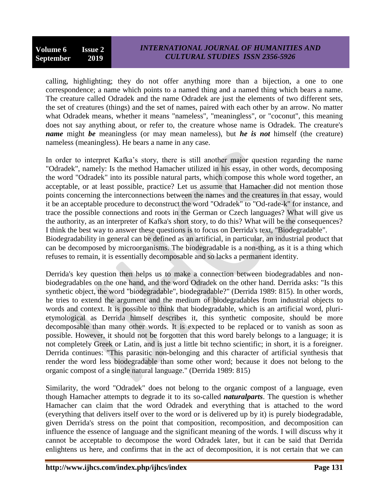calling, highlighting; they do not offer anything more than a bijection, a one to one correspondence; a name which points to a named thing and a named thing which bears a name. The creature called Odradek and the name Odradek are just the elements of two different sets, the set of creatures (things) and the set of names, paired with each other by an arrow. No matter what Odradek means, whether it means "nameless", "meaningless", or "coconut", this meaning does not say anything about, or refer to, the creature whose name is Odradek. The creature's *name* might *be* meaningless (or may mean nameless), but *he is not* himself (the creature) nameless (meaningless). He bears a name in any case.

In order to interpret Kafka's story, there is still another major question regarding the name "Odradek", namely: Is the method Hamacher utilized in his essay, in other words, decomposing the word "Odradek" into its possible natural parts, which compose this whole word together, an acceptable, or at least possible, practice? Let us assume that Hamacher did not mention those points concerning the interconnections between the names and the creatures in that essay, would it be an acceptable procedure to deconstruct the word "Odradek" to "Od-rade-k" for instance, and trace the possible connections and roots in the German or Czech languages? What will give us the authority, as an interpreter of Kafka's short story, to do this? What will be the consequences? I think the best way to answer these questions is to focus on Derrida's text, "Biodegradable". Biodegradability in general can be defined as an artificial, in particular, an industrial product that can be decomposed by microorganisms. The biodegradable is a non-thing, as it is a thing which refuses to remain, it is essentially decomposable and so lacks a permanent identity.

Derrida's key question then helps us to make a connection between biodegradables and nonbiodegradables on the one hand, and the word Odradek on the other hand. Derrida asks: "Is this synthetic object, the word "biodegradable", biodegradable?" (Derrida 1989: 815). In other words, he tries to extend the argument and the medium of biodegradables from industrial objects to words and context. It is possible to think that biodegradable, which is an artificial word, plurietymological as Derrida himself describes it, this synthetic composite, should be more decomposable than many other words. It is expected to be replaced or to vanish as soon as possible. However, it should not be forgotten that this word barely belongs to a language; it is not completely Greek or Latin, and is just a little bit techno scientific; in short, it is a foreigner. Derrida continues: "This parasitic non-belonging and this character of artificial synthesis that render the word less biodegradable than some other word; because it does not belong to the organic compost of a single natural language." (Derrida 1989: 815)

Similarity, the word "Odradek" does not belong to the organic compost of a language, even though Hamacher attempts to degrade it to its so-called *naturalparts*. The question is whether Hamacher can claim that the word Odradek and everything that is attached to the word (everything that delivers itself over to the word or is delivered up by it) is purely biodegradable, given Derrida's stress on the point that composition, recomposition, and decomposition can influence the essence of language and the significant meaning of the words. I will discuss why it cannot be acceptable to decompose the word Odradek later, but it can be said that Derrida enlightens us here, and confirms that in the act of decomposition, it is not certain that we can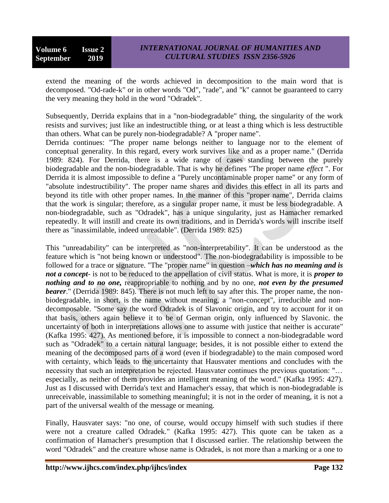extend the meaning of the words achieved in decomposition to the main word that is decomposed. "Od-rade-k" or in other words "Od", "rade", and "k" cannot be guaranteed to carry the very meaning they hold in the word "Odradek".

Subsequently, Derrida explains that in a "non-biodegradable" thing, the singularity of the work resists and survives; just like an indestructible thing, or at least a thing which is less destructible than others. What can be purely non-biodegradable? A "proper name".

Derrida continues: "The proper name belongs neither to language nor to the element of conceptual generality. In this regard, every work survives like and as a proper name." (Derrida 1989: 824). For Derrida, there is a wide range of cases standing between the purely biodegradable and the non-biodegradable. That is why he defines "The proper name *effect* ". For Derrida it is almost impossible to define a "Purely uncontaminable proper name" or any form of "absolute indestructibility". The proper name shares and divides this effect in all its parts and beyond its title with other proper names. In the manner of this "proper name", Derrida claims that the work is singular; therefore, as a singular proper name, it must be less biodegradable. A non-biodegradable, such as "Odradek", has a unique singularity, just as Hamacher remarked repeatedly. It will instill and create its own traditions, and in Derrida's words will inscribe itself there as "inassimilable, indeed unreadable". (Derrida 1989: 825)

This "unreadability" can be interpreted as "non-interpretability". It can be understood as the feature which is "not being known or understood". The non-biodegradability is impossible to be followed for a trace or signature. "The "proper name" in question –*which has no meaning and is not a concept*- is not to be reduced to the appellation of civil status. What is more, it is *proper to nothing and to no one,* reappropriable to nothing and by no one, *not even by the presumed bearer*." (Derrida 1989: 845). There is not much left to say after this. The proper name, the nonbiodegradable, in short, is the name without meaning, a "non-concept", irreducible and nondecomposable. "Some say the word Odradek is of Slavonic origin, and try to account for it on that basis, others again believe it to be of German origin, only influenced by Slavonic. the uncertainty of both in interpretations allows one to assume with justice that neither is accurate" (Kafka 1995: 427). As mentioned before, it is impossible to connect a non-biodegradable word such as "Odradek" to a certain natural language; besides, it is not possible either to extend the meaning of the decomposed parts of a word (even if biodegradable) to the main composed word with certainty, which leads to the uncertainty that Hausvater mentions and concludes with the necessity that such an interpretation be rejected. Hausvater continues the previous quotation: "… especially, as neither of them provides an intelligent meaning of the word." (Kafka 1995: 427). Just as I discussed with Derrida's text and Hamacher's essay, that which is non-biodegradable is unreceivable, inassimilable to something meaningful; it is not in the order of meaning, it is not a part of the universal wealth of the message or meaning.

Finally, Hausvater says: "no one, of course, would occupy himself with such studies if there were not a creature called Odradek." (Kafka 1995: 427). This quote can be taken as a confirmation of Hamacher's presumption that I discussed earlier. The relationship between the word "Odradek" and the creature whose name is Odradek, is not more than a marking or a one to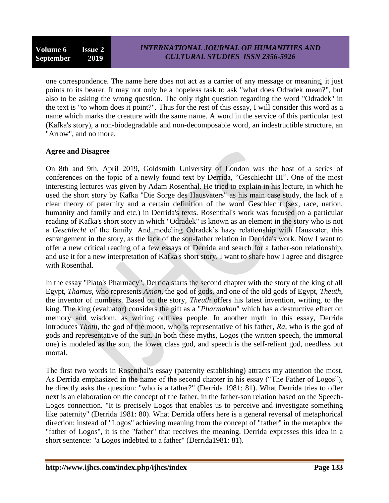one correspondence. The name here does not act as a carrier of any message or meaning, it just points to its bearer. It may not only be a hopeless task to ask "what does Odradek mean?", but also to be asking the wrong question. The only right question regarding the word "Odradek" in the text is "to whom does it point?". Thus for the rest of this essay, I will consider this word as a name which marks the creature with the same name. A word in the service of this particular text (Kafka's story), a non-biodegradable and non-decomposable word, an indestructible structure, an "Arrow", and no more.

# **Agree and Disagree**

On 8th and 9th, April 2019, Goldsmith University of London was the host of a series of conferences on the topic of a newly found text by Derrida, "Geschlecht III". One of the most interesting lectures was given by Adam Rosenthal. He tried to explain in his lecture, in which he used the short story by Kafka "Die Sorge des Hausvaters" as his main case study, the lack of a clear theory of paternity and a certain definition of the word Geschlecht (sex, race, nation, humanity and family and etc.) in Derrida's texts. Rosenthal's work was focused on a particular reading of Kafka's short story in which "Odradek" is known as an element in the story who is not a *Geschlecht* of the family. And modeling Odradek's hazy relationship with Hausvater, this estrangement in the story, as the lack of the son-father relation in Derrida's work. Now I want to offer a new critical reading of a few essays of Derrida and search for a father-son relationship, and use it for a new interpretation of Kafka's short story. I want to share how I agree and disagree with Rosenthal.

In the essay "Plato's Pharmacy", Derrida starts the second chapter with the story of the king of all Egypt, *Thamus*, who represents *Amon*, the god of gods, and one of the old gods of Egypt, *Theuth*, the inventor of numbers. Based on the story, *Theuth* offers his latest invention, writing, to the king. The king (evaluator) considers the gift as a "*Pharmakon*" which has a destructive effect on memory and wisdom, as writing outlives people. In another myth in this essay, Derrida introduces *Thoth*, the god of the moon, who is representative of his father, *Ra*, who is the god of gods and representative of the sun. In both these myths, Logos (the written speech, the immortal one) is modeled as the son, the lower class god, and speech is the self-reliant god, needless but mortal.

The first two words in Rosenthal's essay (paternity establishing) attracts my attention the most. As Derrida emphasized in the name of the second chapter in his essay ("The Father of Logos"), he directly asks the question: "who is a father?" (Derrida 1981: 81). What Derrida tries to offer next is an elaboration on the concept of the father, in the father-son relation based on the Speech-Logos connection. "It is precisely Logos that enables us to perceive and investigate something like paternity" (Derrida 1981: 80). What Derrida offers here is a general reversal of metaphorical direction; instead of "Logos" achieving meaning from the concept of "father" in the metaphor the "father of Logos", it is the "father" that receives the meaning. Derrida expresses this idea in a short sentence: "a Logos indebted to a father" (Derrida1981: 81).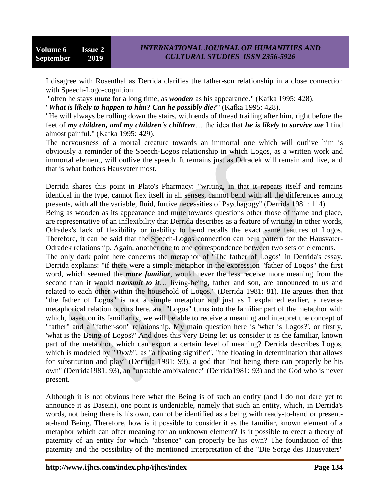I disagree with Rosenthal as Derrida clarifies the father-son relationship in a close connection with Speech-Logo-cognition.

"often he stays *mute* for a long time, as *wooden* as his appearance." (Kafka 1995: 428).

"*What is likely to happen to him? Can he possibly die?*" (Kafka 1995: 428).

"He will always be rolling down the stairs, with ends of thread trailing after him, right before the feet of *my children, and my children's children*… the idea that *he is likely to survive me* I find almost painful." (Kafka 1995: 429).

The nervousness of a mortal creature towards an immortal one which will outlive him is obviously a reminder of the Speech-Logos relationship in which Logos, as a written work and immortal element, will outlive the speech. It remains just as Odradek will remain and live, and that is what bothers Hausvater most.

Derrida shares this point in Plato's Pharmacy: "writing, in that it repeats itself and remains identical in the type, cannot flex itself in all senses, cannot bend with all the differences among presents, with all the variable, fluid, furtive necessities of Psychagogy" (Derrida 1981: 114).

Being as wooden as its appearance and mute towards questions other those of name and place, are representative of an inflexibility that Derrida describes as a feature of writing. In other words, Odradek's lack of flexibility or inability to bend recalls the exact same features of Logos. Therefore, it can be said that the Speech-Logos connection can be a pattern for the Hausvater-Odradek relationship. Again, another one to one correspondence between two sets of elements.

The only dark point here concerns the metaphor of "The father of Logos" in Derrida's essay. Derrida explains: "if there were a simple metaphor in the expression "father of Logos" the first word, which seemed the *more familiar*, would never the less receive more meaning from the second than it would *transmit to it*… living-being, father and son, are announced to us and related to each other within the household of Logos." (Derrida 1981: 81). He argues then that "the father of Logos" is not a simple metaphor and just as I explained earlier, a reverse metaphorical relation occurs here, and "Logos" turns into the familiar part of the metaphor with which, based on its familiarity, we will be able to receive a meaning and interpret the concept of "father" and a "father-son" relationship. My main question here is 'what is Logos?', or firstly, 'what is the Being of Logos?' And does this very Being let us consider it as the familiar, known part of the metaphor, which can export a certain level of meaning? Derrida describes Logos, which is modeled by "*Thoth*", as "a floating signifier", "the floating in determination that allows for substitution and play" (Derrida 1981: 93), a god that "not being there can properly be his own" (Derrida1981: 93), an "unstable ambivalence" (Derrida1981: 93) and the God who is never present.

Although it is not obvious here what the Being is of such an entity (and I do not dare yet to announce it as Dasein), one point is undeniable, namely that such an entity, which, in Derrida's words, not being there is his own, cannot be identified as a being with ready-to-hand or presentat-hand Being. Therefore, how is it possible to consider it as the familiar, known element of a metaphor which can offer meaning for an unknown element? Is it possible to erect a theory of paternity of an entity for which "absence" can properly be his own? The foundation of this paternity and the possibility of the mentioned interpretation of the "Die Sorge des Hausvaters"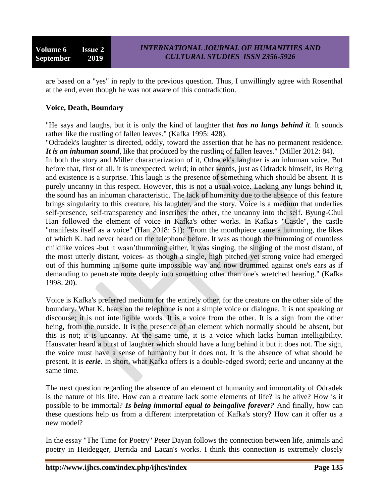**Volume 6 Issue 2 September 2019**

are based on a "yes" in reply to the previous question. Thus, I unwillingly agree with Rosenthal at the end, even though he was not aware of this contradiction.

#### **Voice, Death, Boundary**

"He says and laughs, but it is only the kind of laughter that *has no lungs behind it*. It sounds rather like the rustling of fallen leaves." (Kafka 1995: 428).

"Odradek's laughter is directed, oddly, toward the assertion that he has no permanent residence. It is an inhuman sound, like that produced by the rustling of fallen leaves." (Miller 2012: 84).

In both the story and Miller characterization of it, Odradek's laughter is an inhuman voice. But before that, first of all, it is unexpected, weird; in other words, just as Odradek himself, its Being and existence is a surprise. This laugh is the presence of something which should be absent. It is purely uncanny in this respect. However, this is not a usual voice. Lacking any lungs behind it, the sound has an inhuman characteristic. The lack of humanity due to the absence of this feature brings singularity to this creature, his laughter, and the story. Voice is a medium that underlies self-presence, self-transparency and inscribes the other, the uncanny into the self. Byung-Chul Han followed the element of voice in Kafka's other works. In Kafka's "Castle", the castle "manifests itself as a voice" (Han 2018: 51): "From the mouthpiece came a humming, the likes of which K. had never heard on the telephone before. It was as though the humming of countless childlike voices -but it wasn'thumming either, it was singing, the singing of the most distant, of the most utterly distant, voices- as though a single, high pitched yet strong voice had emerged out of this humming in some quite impossible way and now drummed against one's ears as if demanding to penetrate more deeply into something other than one's wretched hearing." (Kafka 1998: 20).

Voice is Kafka's preferred medium for the entirely other, for the creature on the other side of the boundary. What K. hears on the telephone is not a simple voice or dialogue. It is not speaking or discourse; it is not intelligible words. It is a voice from the other. It is a sign from the other being, from the outside. It is the presence of an element which normally should be absent, but this is not; it is uncanny. At the same time, it is a voice which lacks human intelligibility. Hausvater heard a burst of laughter which should have a lung behind it but it does not. The sign, the voice must have a sense of humanity but it does not. It is the absence of what should be present. It is *eerie*. In short, what Kafka offers is a double-edged sword; eerie and uncanny at the same time.

The next question regarding the absence of an element of humanity and immortality of Odradek is the nature of his life. How can a creature lack some elements of life? Is he alive? How is it possible to be immortal? *Is being immortal equal to beingalive forever?* And finally, how can these questions help us from a different interpretation of Kafka's story? How can it offer us a new model?

In the essay "The Time for Poetry" Peter Dayan follows the connection between life, animals and poetry in Heidegger, Derrida and Lacan's works. I think this connection is extremely closely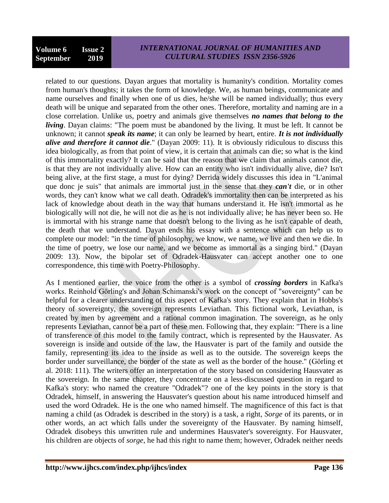related to our questions. Dayan argues that mortality is humanity's condition. Mortality comes from human's thoughts; it takes the form of knowledge. We, as human beings, communicate and name ourselves and finally when one of us dies, he/she will be named individually; thus every death will be unique and separated from the other ones. Therefore, mortality and naming are in a close correlation. Unlike us, poetry and animals give themselves *no names that belong to the living*. Dayan claims: "The poem must be abandoned by the living. It must be left. It cannot be unknown; it cannot *speak its name*; it can only be learned by heart, entire. *It is not individually alive and therefore it cannot die*." (Dayan 2009: 11). It is obviously ridiculous to discuss this idea biologically, as from that point of view, it is certain that animals can die; so what is the kind of this immortality exactly? It can be said that the reason that we claim that animals cannot die, is that they are not individually alive. How can an entity who isn't individually alive, die? Isn't being alive, at the first stage, a must for dying? Derrida widely discusses this idea in "L'animal que donc je suis" that animals are immortal just in the sense that they *can't* die, or in other words, they can't know what we call death. Odradek's immortality then can be interpreted as his lack of knowledge about death in the way that humans understand it. He isn't immortal as he biologically will not die, he will not die as he is not individually alive; he has never been so. He is immortal with his strange name that doesn't belong to the living as he isn't capable of death, the death that we understand. Dayan ends his essay with a sentence which can help us to complete our model: "in the time of philosophy, we know, we name, we live and then we die. In the time of poetry, we lose our name, and we become as immortal as a singing bird." (Dayan 2009: 13). Now, the bipolar set of Odradek-Hausvater can accept another one to one correspondence, this time with Poetry-Philosophy.

As I mentioned earlier, the voice from the other is a symbol of *crossing borders* in Kafka's works. Reinhold Görling's and Johan Schimanski's work on the concept of "sovereignty" can be helpful for a clearer understanding of this aspect of Kafka's story. They explain that in Hobbs's theory of sovereignty, the sovereign represents Leviathan. This fictional work, Leviathan, is created by men by agreement and a rational common imagination. The sovereign, as he only represents Leviathan, cannot be a part of these men. Following that, they explain: "There is a line of transference of this model to the family contract, which is represented by the Hausvater. As sovereign is inside and outside of the law, the Hausvater is part of the family and outside the family, representing its idea to the inside as well as to the outside. The sovereign keeps the border under surveillance, the border of the state as well as the border of the house." (Görling et al. 2018: 111). The writers offer an interpretation of the story based on considering Hausvater as the sovereign. In the same chapter, they concentrate on a less-discussed question in regard to Kafka's story: who named the creature "Odradek"? one of the key points in the story is that Odradek, himself, in answering the Hausvater's question about his name introduced himself and used the word Odradek. He is the one who named himself. The magnificence of this fact is that naming a child (as Odradek is described in the story) is a task, a right, *Sorge* of its parents, or in other words, an act which falls under the sovereignty of the Hausvater. By naming himself, Odradek disobeys this unwritten rule and undermines Hausvater's sovereignty. For Hausvater, his children are objects of *sorge*, he had this right to name them; however, Odradek neither needs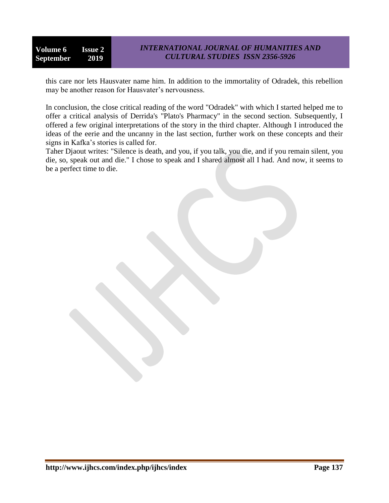this care nor lets Hausvater name him. In addition to the immortality of Odradek, this rebellion may be another reason for Hausvater's nervousness.

In conclusion, the close critical reading of the word "Odradek" with which I started helped me to offer a critical analysis of Derrida's "Plato's Pharmacy" in the second section. Subsequently, I offered a few original interpretations of the story in the third chapter. Although I introduced the ideas of the eerie and the uncanny in the last section, further work on these concepts and their signs in Kafka's stories is called for.

Taher Djaout writes: "Silence is death, and you, if you talk, you die, and if you remain silent, you die, so, speak out and die." I chose to speak and I shared almost all I had. And now, it seems to be a perfect time to die.